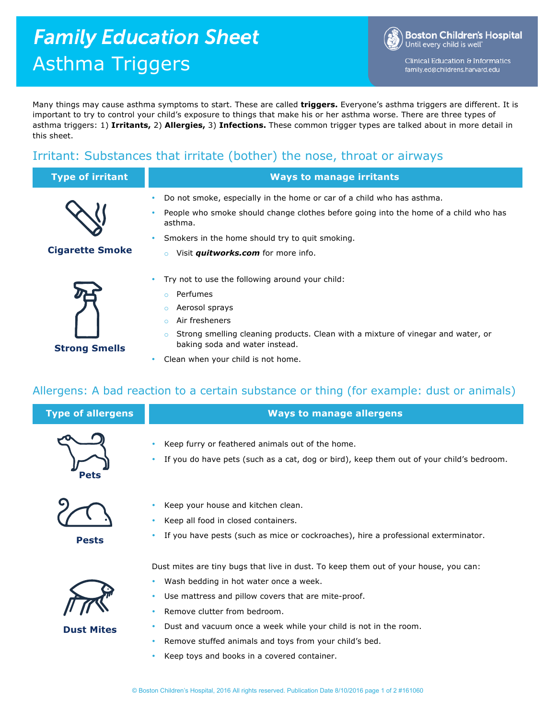# **Family Education Sheet** Asthma Triggers

**Boston Children's Hospital** Until every child is well<sup>-</sup>

Clinical Education & Informatics family.ed@childrens.harvard.edu

Many things may cause asthma symptoms to start. These are called **triggers.** Everyone's asthma triggers are different. It is important to try to control your child's exposure to things that make his or her asthma worse. There are three types of asthma triggers: 1) **Irritants,** 2) **Allergies,** 3) **Infections.** These common trigger types are talked about in more detail in this sheet.

## Irritant: Substances that irritate (bother) the nose, throat or airways

| <b>Type of irritant</b> | <b>Ways to manage irritants</b>                                                                                                                                                                                                                                                                     |
|-------------------------|-----------------------------------------------------------------------------------------------------------------------------------------------------------------------------------------------------------------------------------------------------------------------------------------------------|
| <b>Cigarette Smoke</b>  | Do not smoke, especially in the home or car of a child who has asthma.<br>٠<br>People who smoke should change clothes before going into the home of a child who has<br>٠<br>asthma.<br>Smokers in the home should try to quit smoking.<br>٠<br>Visit <i>quitworks.com</i> for more info.<br>$\circ$ |
|                         | Try not to use the following around your child:<br>$\bullet$<br>Perfumes<br>$\circ$<br>Aerosol sprays<br>A ba Canada a san ana                                                                                                                                                                      |

- o Strong smelling cleaning products. Clean with a mixture of vinegar and water, or baking soda and water instead.
- Clean when your child is not home.

### Allergens: A bad reaction to a certain substance or thing (for example: dust or animals)

| <b>Type of allergens</b> | <b>Ways to manage allergens</b>                                                                                                                                                                                                                                                                                                                                                                              |
|--------------------------|--------------------------------------------------------------------------------------------------------------------------------------------------------------------------------------------------------------------------------------------------------------------------------------------------------------------------------------------------------------------------------------------------------------|
| <b>Pets</b>              | Keep furry or feathered animals out of the home.<br>If you do have pets (such as a cat, dog or bird), keep them out of your child's bedroom.                                                                                                                                                                                                                                                                 |
| <b>Pests</b>             | Keep your house and kitchen clean.<br>Keep all food in closed containers.<br>If you have pests (such as mice or cockroaches), hire a professional exterminator.                                                                                                                                                                                                                                              |
| <b>Dust Mites</b>        | Dust mites are tiny bugs that live in dust. To keep them out of your house, you can:<br>Wash bedding in hot water once a week.<br>Use mattress and pillow covers that are mite-proof.<br>۰<br>Remove clutter from bedroom.<br>Dust and vacuum once a week while your child is not in the room.<br>Remove stuffed animals and toys from your child's bed.<br>۰<br>Keep toys and books in a covered container. |



**Strong Smells**

- o Air fresheners
- 
-